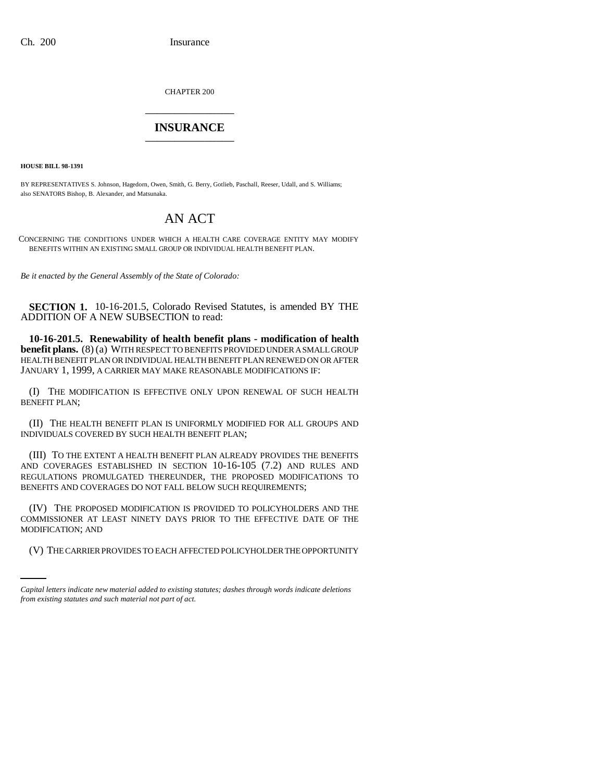CHAPTER 200 \_\_\_\_\_\_\_\_\_\_\_\_\_\_\_

## **INSURANCE** \_\_\_\_\_\_\_\_\_\_\_\_\_\_\_

**HOUSE BILL 98-1391**

BY REPRESENTATIVES S. Johnson, Hagedorn, Owen, Smith, G. Berry, Gotlieb, Paschall, Reeser, Udall, and S. Williams; also SENATORS Bishop, B. Alexander, and Matsunaka.

## AN ACT

CONCERNING THE CONDITIONS UNDER WHICH A HEALTH CARE COVERAGE ENTITY MAY MODIFY BENEFITS WITHIN AN EXISTING SMALL GROUP OR INDIVIDUAL HEALTH BENEFIT PLAN.

*Be it enacted by the General Assembly of the State of Colorado:*

**SECTION 1.** 10-16-201.5, Colorado Revised Statutes, is amended BY THE ADDITION OF A NEW SUBSECTION to read:

**10-16-201.5. Renewability of health benefit plans - modification of health benefit plans.** (8) (a) WITH RESPECT TO BENEFITS PROVIDED UNDER A SMALL GROUP HEALTH BENEFIT PLAN OR INDIVIDUAL HEALTH BENEFIT PLAN RENEWED ON OR AFTER JANUARY 1, 1999, A CARRIER MAY MAKE REASONABLE MODIFICATIONS IF:

(I) THE MODIFICATION IS EFFECTIVE ONLY UPON RENEWAL OF SUCH HEALTH BENEFIT PLAN;

(II) THE HEALTH BENEFIT PLAN IS UNIFORMLY MODIFIED FOR ALL GROUPS AND INDIVIDUALS COVERED BY SUCH HEALTH BENEFIT PLAN;

(III) TO THE EXTENT A HEALTH BENEFIT PLAN ALREADY PROVIDES THE BENEFITS AND COVERAGES ESTABLISHED IN SECTION 10-16-105 (7.2) AND RULES AND REGULATIONS PROMULGATED THEREUNDER, THE PROPOSED MODIFICATIONS TO BENEFITS AND COVERAGES DO NOT FALL BELOW SUCH REQUIREMENTS;

MODIFICATION; AND (IV) THE PROPOSED MODIFICATION IS PROVIDED TO POLICYHOLDERS AND THE COMMISSIONER AT LEAST NINETY DAYS PRIOR TO THE EFFECTIVE DATE OF THE

(V) THE CARRIER PROVIDES TO EACH AFFECTED POLICYHOLDER THE OPPORTUNITY

*Capital letters indicate new material added to existing statutes; dashes through words indicate deletions from existing statutes and such material not part of act.*